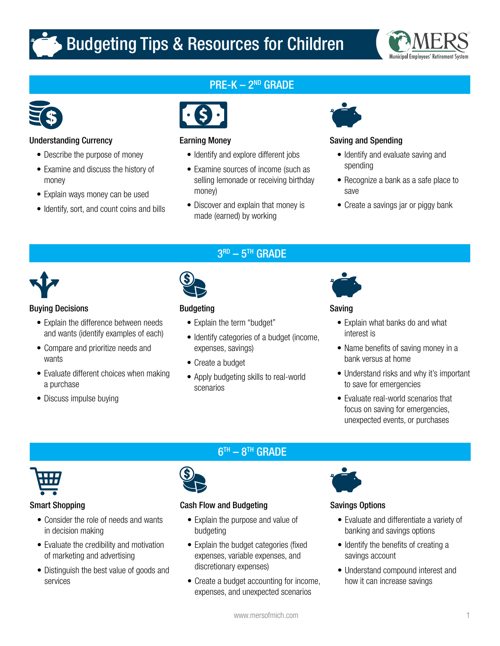# Budgeting Tips & Resources for Children





# Understanding Currency

- Describe the purpose of money
- Examine and discuss the history of money
- Explain ways money can be used
- Identify, sort, and count coins and bills

# PRE-K - 2<sup>ND</sup> GRADE



## Earning Money

- Identify and explore different jobs
- Examine sources of income (such as selling lemonade or receiving birthday money)
- Discover and explain that money is made (earned) by working

 $3<sup>RD</sup> - 5<sup>TH</sup>$  GRADE



# Saving and Spending

- Identify and evaluate saving and spending
- Recognize a bank as a safe place to save
- Create a savings jar or piggy bank



# Buying Decisions

- Explain the difference between needs and wants (identify examples of each)
- Compare and prioritize needs and wants
- Evaluate different choices when making a purchase
- Discuss impulse buying



# **Budgeting**

- Explain the term "budget"
- Identify categories of a budget (income, expenses, savings)
- Create a budget
- Apply budgeting skills to real-world scenarios



# Saving

- Explain what banks do and what interest is
- Name benefits of saving money in a bank versus at home
- Understand risks and why it's important to save for emergencies
- Evaluate real-world scenarios that focus on saving for emergencies, unexpected events, or purchases



## Smart Shopping

- Consider the role of needs and wants in decision making
- Evaluate the credibility and motivation of marketing and advertising
- Distinguish the best value of goods and services

# $6<sup>TH</sup> - 8<sup>TH</sup>$  GRADE



# Cash Flow and Budgeting

- Explain the purpose and value of budgeting
- Explain the budget categories (fixed expenses, variable expenses, and discretionary expenses)
- Create a budget accounting for income, expenses, and unexpected scenarios



# Savings Options

- Evaluate and differentiate a variety of banking and savings options
- Identify the benefits of creating a savings account
- Understand compound interest and how it can increase savings